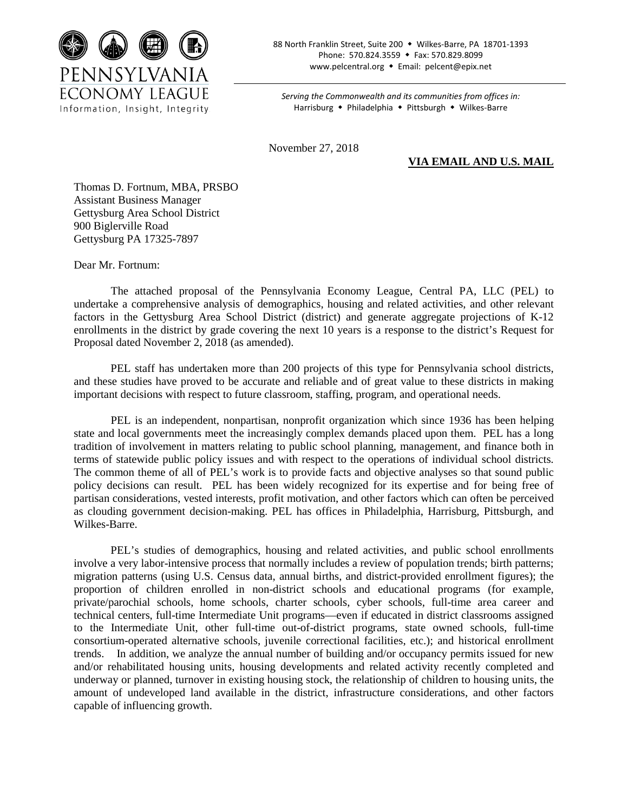

88 North Franklin Street, Suite 200 • Wilkes-Barre, PA 18701-1393 Phone: 570.824.3559 • Fax: 570.829.8099 www.pelcentral.org • Email: pelcent@epix.net

*Serving the Commonwealth and its communities from offices in:* Harrisburg • Philadelphia • Pittsburgh • Wilkes-Barre

November 27, 2018

**VIA EMAIL AND U.S. MAIL**

Thomas D. Fortnum, MBA, PRSBO Assistant Business Manager Gettysburg Area School District 900 Biglerville Road Gettysburg PA 17325-7897

Dear Mr. Fortnum:

The attached proposal of the Pennsylvania Economy League, Central PA, LLC (PEL) to undertake a comprehensive analysis of demographics, housing and related activities, and other relevant factors in the Gettysburg Area School District (district) and generate aggregate projections of K-12 enrollments in the district by grade covering the next 10 years is a response to the district's Request for Proposal dated November 2, 2018 (as amended).

PEL staff has undertaken more than 200 projects of this type for Pennsylvania school districts, and these studies have proved to be accurate and reliable and of great value to these districts in making important decisions with respect to future classroom, staffing, program, and operational needs.

PEL is an independent, nonpartisan, nonprofit organization which since 1936 has been helping state and local governments meet the increasingly complex demands placed upon them. PEL has a long tradition of involvement in matters relating to public school planning, management, and finance both in terms of statewide public policy issues and with respect to the operations of individual school districts. The common theme of all of PEL's work is to provide facts and objective analyses so that sound public policy decisions can result. PEL has been widely recognized for its expertise and for being free of partisan considerations, vested interests, profit motivation, and other factors which can often be perceived as clouding government decision-making. PEL has offices in Philadelphia, Harrisburg, Pittsburgh, and Wilkes-Barre.

PEL's studies of demographics, housing and related activities, and public school enrollments involve a very labor-intensive process that normally includes a review of population trends; birth patterns; migration patterns (using U.S. Census data, annual births, and district-provided enrollment figures); the proportion of children enrolled in non-district schools and educational programs (for example, private/parochial schools, home schools, charter schools, cyber schools, full-time area career and technical centers, full-time Intermediate Unit programs—even if educated in district classrooms assigned to the Intermediate Unit, other full-time out-of-district programs, state owned schools, full-time consortium-operated alternative schools, juvenile correctional facilities, etc.); and historical enrollment trends. In addition, we analyze the annual number of building and/or occupancy permits issued for new and/or rehabilitated housing units, housing developments and related activity recently completed and underway or planned, turnover in existing housing stock, the relationship of children to housing units, the amount of undeveloped land available in the district, infrastructure considerations, and other factors capable of influencing growth.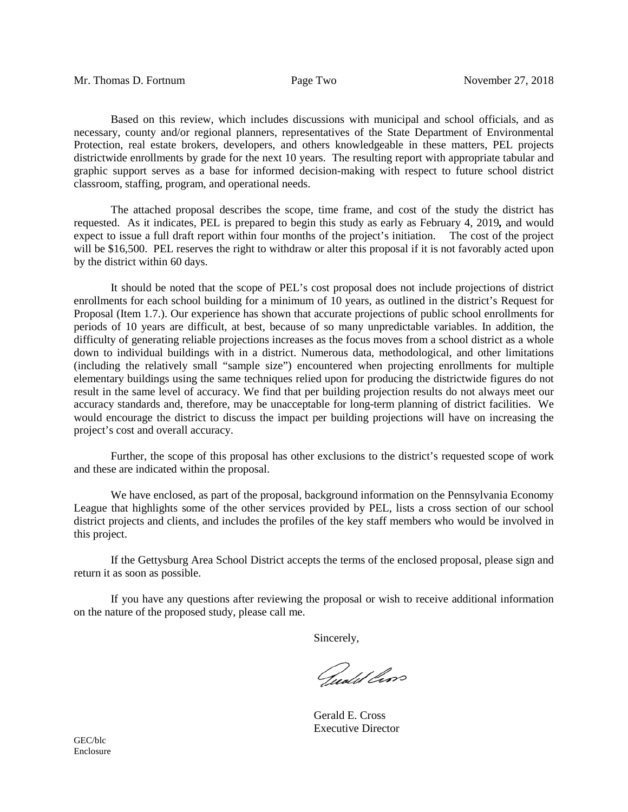Based on this review, which includes discussions with municipal and school officials, and as necessary, county and/or regional planners, representatives of the State Department of Environmental Protection, real estate brokers, developers, and others knowledgeable in these matters, PEL projects districtwide enrollments by grade for the next 10 years. The resulting report with appropriate tabular and graphic support serves as a base for informed decision-making with respect to future school district classroom, staffing, program, and operational needs.

The attached proposal describes the scope, time frame, and cost of the study the district has requested. As it indicates, PEL is prepared to begin this study as early as February 4, 2019*,* and would expect to issue a full draft report within four months of the project's initiation. The cost of the project will be \$16,500. PEL reserves the right to withdraw or alter this proposal if it is not favorably acted upon by the district within 60 days.

It should be noted that the scope of PEL's cost proposal does not include projections of district enrollments for each school building for a minimum of 10 years, as outlined in the district's Request for Proposal (Item 1.7.). Our experience has shown that accurate projections of public school enrollments for periods of 10 years are difficult, at best, because of so many unpredictable variables. In addition, the difficulty of generating reliable projections increases as the focus moves from a school district as a whole down to individual buildings with in a district. Numerous data, methodological, and other limitations (including the relatively small "sample size") encountered when projecting enrollments for multiple elementary buildings using the same techniques relied upon for producing the districtwide figures do not result in the same level of accuracy. We find that per building projection results do not always meet our accuracy standards and, therefore, may be unacceptable for long-term planning of district facilities. We would encourage the district to discuss the impact per building projections will have on increasing the project's cost and overall accuracy.

Further, the scope of this proposal has other exclusions to the district's requested scope of work and these are indicated within the proposal.

We have enclosed, as part of the proposal, background information on the Pennsylvania Economy League that highlights some of the other services provided by PEL, lists a cross section of our school district projects and clients, and includes the profiles of the key staff members who would be involved in this project.

If the Gettysburg Area School District accepts the terms of the enclosed proposal, please sign and return it as soon as possible.

If you have any questions after reviewing the proposal or wish to receive additional information on the nature of the proposed study, please call me.

Sincerely,

Gudd lan

Gerald E. Cross Executive Director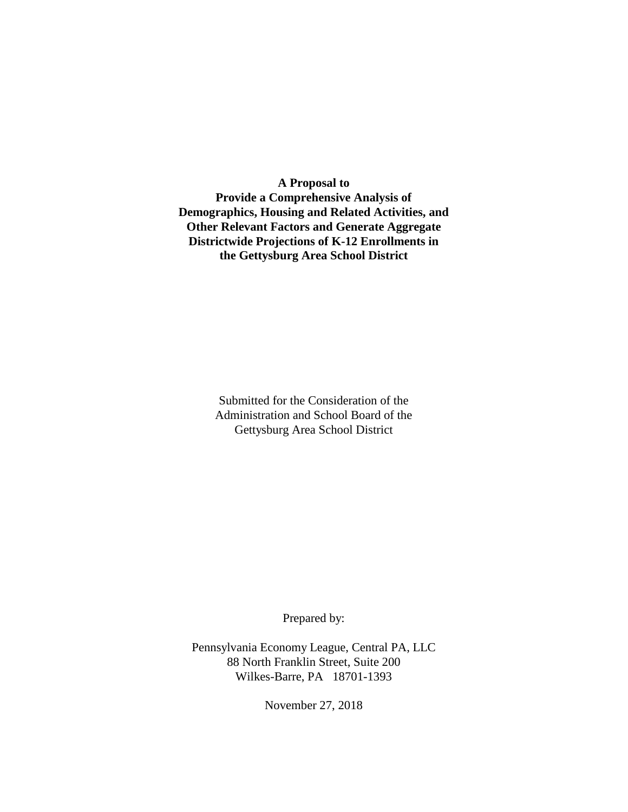**A Proposal to Provide a Comprehensive Analysis of Demographics, Housing and Related Activities, and Other Relevant Factors and Generate Aggregate Districtwide Projections of K-12 Enrollments in the Gettysburg Area School District**

> Submitted for the Consideration of the Administration and School Board of the Gettysburg Area School District

> > Prepared by:

Pennsylvania Economy League, Central PA, LLC 88 North Franklin Street, Suite 200 Wilkes-Barre, PA 18701-1393

November 27, 2018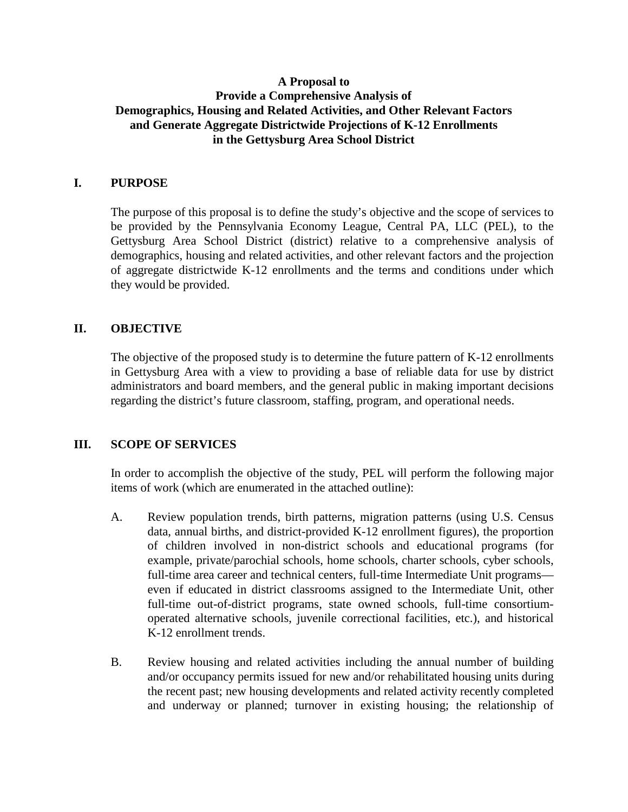# **A Proposal to Provide a Comprehensive Analysis of Demographics, Housing and Related Activities, and Other Relevant Factors and Generate Aggregate Districtwide Projections of K-12 Enrollments in the Gettysburg Area School District**

# **I. PURPOSE**

The purpose of this proposal is to define the study's objective and the scope of services to be provided by the Pennsylvania Economy League, Central PA, LLC (PEL), to the Gettysburg Area School District (district) relative to a comprehensive analysis of demographics, housing and related activities, and other relevant factors and the projection of aggregate districtwide K-12 enrollments and the terms and conditions under which they would be provided.

# **II. OBJECTIVE**

The objective of the proposed study is to determine the future pattern of K-12 enrollments in Gettysburg Area with a view to providing a base of reliable data for use by district administrators and board members, and the general public in making important decisions regarding the district's future classroom, staffing, program, and operational needs.

## **III. SCOPE OF SERVICES**

In order to accomplish the objective of the study, PEL will perform the following major items of work (which are enumerated in the attached outline):

- A. Review population trends, birth patterns, migration patterns (using U.S. Census data, annual births, and district-provided K-12 enrollment figures), the proportion of children involved in non-district schools and educational programs (for example, private/parochial schools, home schools, charter schools, cyber schools, full-time area career and technical centers, full-time Intermediate Unit programs even if educated in district classrooms assigned to the Intermediate Unit, other full-time out-of-district programs, state owned schools, full-time consortiumoperated alternative schools, juvenile correctional facilities, etc.), and historical K-12 enrollment trends.
- B. Review housing and related activities including the annual number of building and/or occupancy permits issued for new and/or rehabilitated housing units during the recent past; new housing developments and related activity recently completed and underway or planned; turnover in existing housing; the relationship of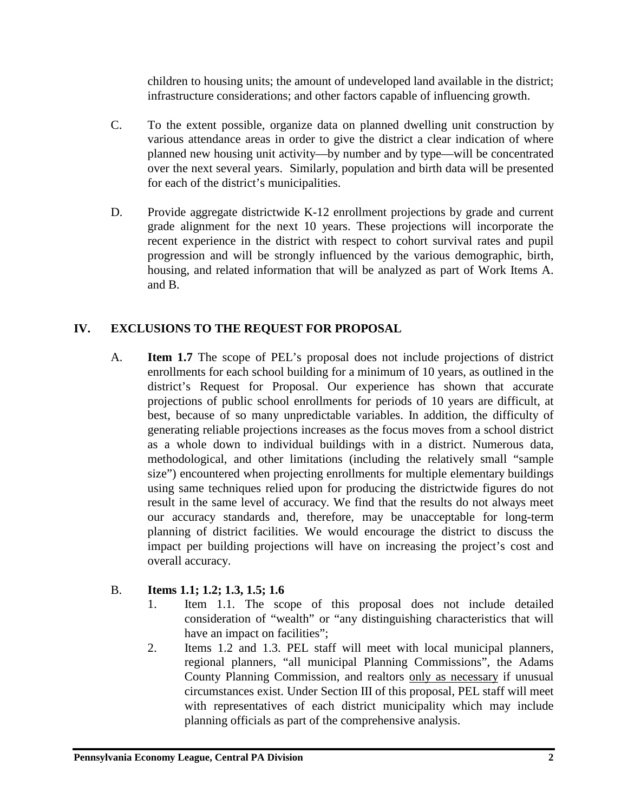children to housing units; the amount of undeveloped land available in the district; infrastructure considerations; and other factors capable of influencing growth.

- C. To the extent possible, organize data on planned dwelling unit construction by various attendance areas in order to give the district a clear indication of where planned new housing unit activity—by number and by type—will be concentrated over the next several years. Similarly, population and birth data will be presented for each of the district's municipalities.
- D. Provide aggregate districtwide K-12 enrollment projections by grade and current grade alignment for the next 10 years. These projections will incorporate the recent experience in the district with respect to cohort survival rates and pupil progression and will be strongly influenced by the various demographic, birth, housing, and related information that will be analyzed as part of Work Items A. and B.

# **IV. EXCLUSIONS TO THE REQUEST FOR PROPOSAL**

A. **Item 1.7** The scope of PEL's proposal does not include projections of district enrollments for each school building for a minimum of 10 years, as outlined in the district's Request for Proposal. Our experience has shown that accurate projections of public school enrollments for periods of 10 years are difficult, at best, because of so many unpredictable variables. In addition, the difficulty of generating reliable projections increases as the focus moves from a school district as a whole down to individual buildings with in a district. Numerous data, methodological, and other limitations (including the relatively small "sample size") encountered when projecting enrollments for multiple elementary buildings using same techniques relied upon for producing the districtwide figures do not result in the same level of accuracy. We find that the results do not always meet our accuracy standards and, therefore, may be unacceptable for long-term planning of district facilities. We would encourage the district to discuss the impact per building projections will have on increasing the project's cost and overall accuracy.

# B. **Items 1.1; 1.2; 1.3, 1.5; 1.6**

- 1. Item 1.1. The scope of this proposal does not include detailed consideration of "wealth" or "any distinguishing characteristics that will have an impact on facilities";
- 2. Items 1.2 and 1.3. PEL staff will meet with local municipal planners, regional planners, "all municipal Planning Commissions", the Adams County Planning Commission, and realtors only as necessary if unusual circumstances exist. Under Section III of this proposal, PEL staff will meet with representatives of each district municipality which may include planning officials as part of the comprehensive analysis.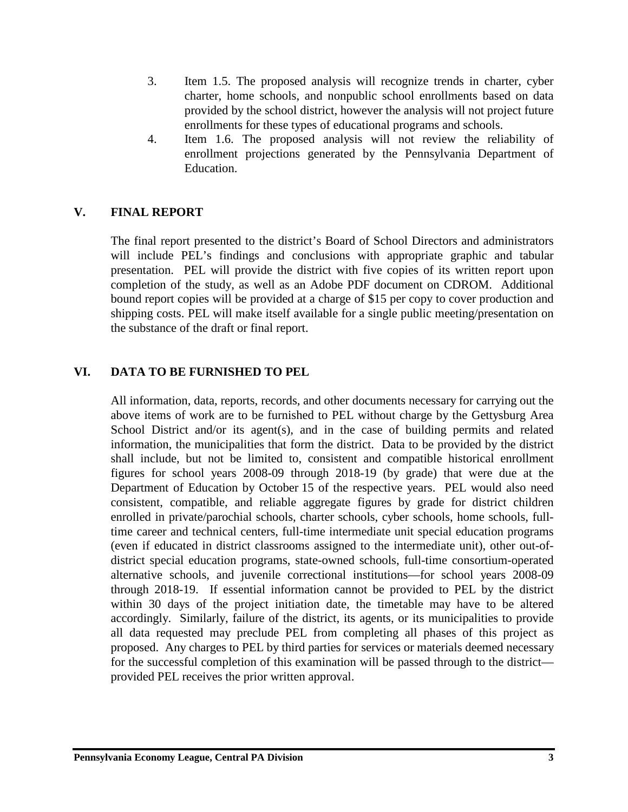- 3. Item 1.5. The proposed analysis will recognize trends in charter, cyber charter, home schools, and nonpublic school enrollments based on data provided by the school district, however the analysis will not project future enrollments for these types of educational programs and schools.
- 4. Item 1.6. The proposed analysis will not review the reliability of enrollment projections generated by the Pennsylvania Department of Education.

# **V. FINAL REPORT**

The final report presented to the district's Board of School Directors and administrators will include PEL's findings and conclusions with appropriate graphic and tabular presentation. PEL will provide the district with five copies of its written report upon completion of the study, as well as an Adobe PDF document on CDROM. Additional bound report copies will be provided at a charge of \$15 per copy to cover production and shipping costs. PEL will make itself available for a single public meeting/presentation on the substance of the draft or final report.

# **VI. DATA TO BE FURNISHED TO PEL**

All information, data, reports, records, and other documents necessary for carrying out the above items of work are to be furnished to PEL without charge by the Gettysburg Area School District and/or its agent(s), and in the case of building permits and related information, the municipalities that form the district. Data to be provided by the district shall include, but not be limited to, consistent and compatible historical enrollment figures for school years 2008-09 through 2018-19 (by grade) that were due at the Department of Education by October 15 of the respective years. PEL would also need consistent, compatible, and reliable aggregate figures by grade for district children enrolled in private/parochial schools, charter schools, cyber schools, home schools, fulltime career and technical centers, full-time intermediate unit special education programs (even if educated in district classrooms assigned to the intermediate unit), other out-ofdistrict special education programs, state-owned schools, full-time consortium-operated alternative schools, and juvenile correctional institutions—for school years 2008-09 through 2018-19. If essential information cannot be provided to PEL by the district within 30 days of the project initiation date, the timetable may have to be altered accordingly. Similarly, failure of the district, its agents, or its municipalities to provide all data requested may preclude PEL from completing all phases of this project as proposed. Any charges to PEL by third parties for services or materials deemed necessary for the successful completion of this examination will be passed through to the district provided PEL receives the prior written approval.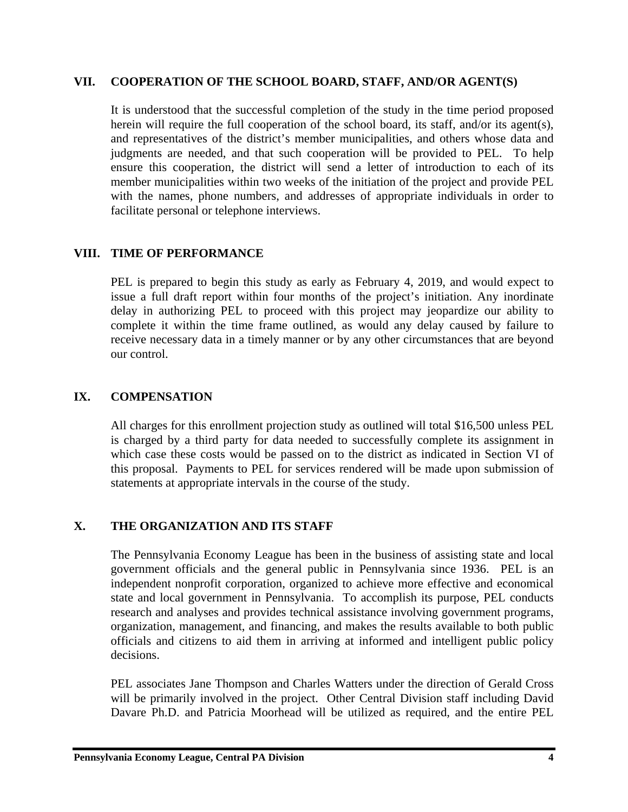## **VII. COOPERATION OF THE SCHOOL BOARD, STAFF, AND/OR AGENT(S)**

It is understood that the successful completion of the study in the time period proposed herein will require the full cooperation of the school board, its staff, and/or its agent(s), and representatives of the district's member municipalities, and others whose data and judgments are needed, and that such cooperation will be provided to PEL. To help ensure this cooperation, the district will send a letter of introduction to each of its member municipalities within two weeks of the initiation of the project and provide PEL with the names, phone numbers, and addresses of appropriate individuals in order to facilitate personal or telephone interviews.

# **VIII. TIME OF PERFORMANCE**

PEL is prepared to begin this study as early as February 4, 2019, and would expect to issue a full draft report within four months of the project's initiation. Any inordinate delay in authorizing PEL to proceed with this project may jeopardize our ability to complete it within the time frame outlined, as would any delay caused by failure to receive necessary data in a timely manner or by any other circumstances that are beyond our control.

# **IX. COMPENSATION**

All charges for this enrollment projection study as outlined will total \$16,500 unless PEL is charged by a third party for data needed to successfully complete its assignment in which case these costs would be passed on to the district as indicated in Section VI of this proposal. Payments to PEL for services rendered will be made upon submission of statements at appropriate intervals in the course of the study.

# **X. THE ORGANIZATION AND ITS STAFF**

The Pennsylvania Economy League has been in the business of assisting state and local government officials and the general public in Pennsylvania since 1936. PEL is an independent nonprofit corporation, organized to achieve more effective and economical state and local government in Pennsylvania. To accomplish its purpose, PEL conducts research and analyses and provides technical assistance involving government programs, organization, management, and financing, and makes the results available to both public officials and citizens to aid them in arriving at informed and intelligent public policy decisions.

PEL associates Jane Thompson and Charles Watters under the direction of Gerald Cross will be primarily involved in the project. Other Central Division staff including David Davare Ph.D. and Patricia Moorhead will be utilized as required, and the entire PEL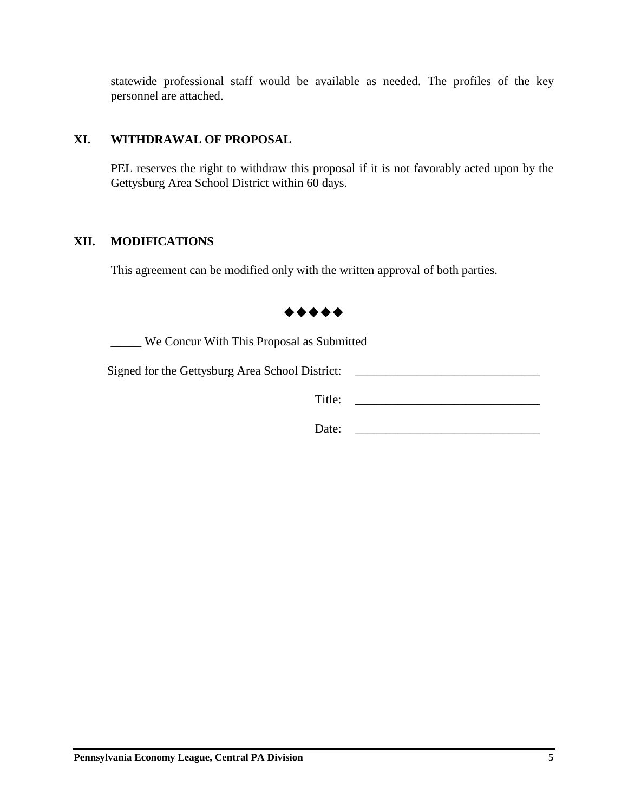statewide professional staff would be available as needed. The profiles of the key personnel are attached.

# **XI. WITHDRAWAL OF PROPOSAL**

PEL reserves the right to withdraw this proposal if it is not favorably acted upon by the Gettysburg Area School District within 60 days.

## **XII. MODIFICATIONS**

This agreement can be modified only with the written approval of both parties.



\_\_\_\_\_ We Concur With This Proposal as Submitted

Signed for the Gettysburg Area School District: \_\_\_\_\_\_\_\_\_\_\_\_\_\_\_\_\_\_\_\_\_\_\_\_\_\_\_\_\_\_\_\_

Title:

Date: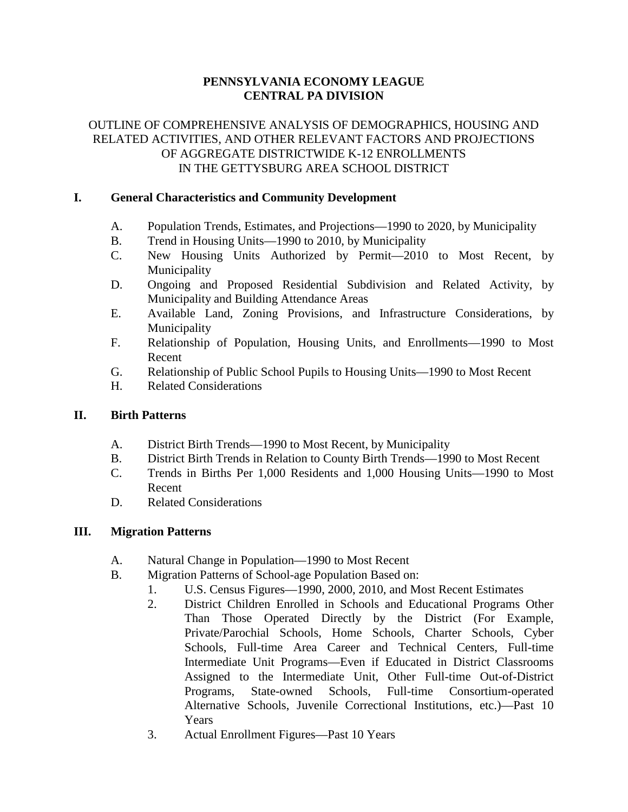# **PENNSYLVANIA ECONOMY LEAGUE CENTRAL PA DIVISION**

# OUTLINE OF COMPREHENSIVE ANALYSIS OF DEMOGRAPHICS, HOUSING AND RELATED ACTIVITIES, AND OTHER RELEVANT FACTORS AND PROJECTIONS OF AGGREGATE DISTRICTWIDE K-12 ENROLLMENTS IN THE GETTYSBURG AREA SCHOOL DISTRICT

# **I. General Characteristics and Community Development**

- A. Population Trends, Estimates, and Projections—1990 to 2020, by Municipality
- B. Trend in Housing Units—1990 to 2010, by Municipality
- C. New Housing Units Authorized by Permit—2010 to Most Recent, by Municipality
- D. Ongoing and Proposed Residential Subdivision and Related Activity, by Municipality and Building Attendance Areas
- E. Available Land, Zoning Provisions, and Infrastructure Considerations, by Municipality
- F. Relationship of Population, Housing Units, and Enrollments—1990 to Most Recent
- G. Relationship of Public School Pupils to Housing Units—1990 to Most Recent
- H. Related Considerations

## **II. Birth Patterns**

- A. District Birth Trends—1990 to Most Recent, by Municipality
- B. District Birth Trends in Relation to County Birth Trends—1990 to Most Recent
- C. Trends in Births Per 1,000 Residents and 1,000 Housing Units—1990 to Most Recent
- D. Related Considerations

## **III. Migration Patterns**

- A. Natural Change in Population—1990 to Most Recent
- B. Migration Patterns of School-age Population Based on:
	- 1. U.S. Census Figures—1990, 2000, 2010, and Most Recent Estimates
		- 2. District Children Enrolled in Schools and Educational Programs Other Than Those Operated Directly by the District (For Example, Private/Parochial Schools, Home Schools, Charter Schools, Cyber Schools, Full-time Area Career and Technical Centers, Full-time Intermediate Unit Programs—Even if Educated in District Classrooms Assigned to the Intermediate Unit, Other Full-time Out-of-District Programs, State-owned Schools, Full-time Consortium-operated Alternative Schools, Juvenile Correctional Institutions, etc.)—Past 10 Years
	- 3. Actual Enrollment Figures—Past 10 Years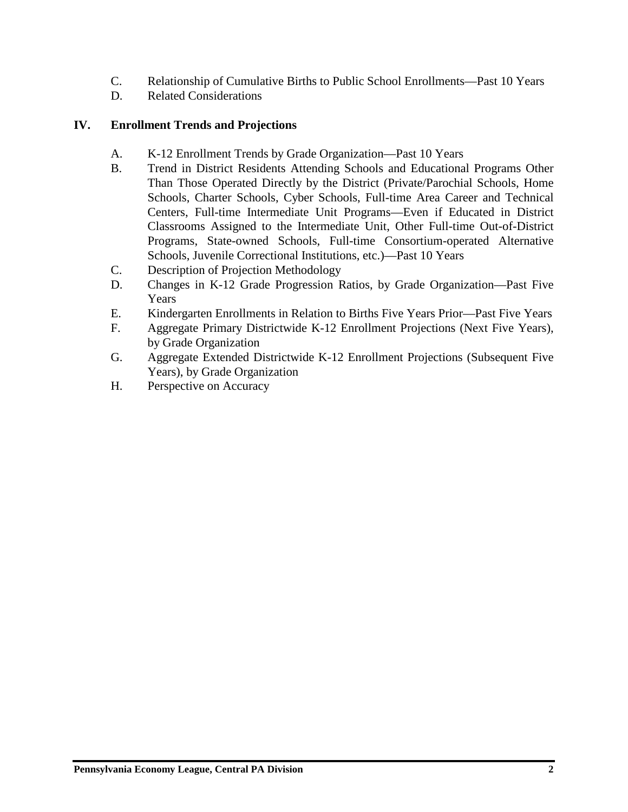- C. Relationship of Cumulative Births to Public School Enrollments—Past 10 Years
- D. Related Considerations

# **IV. Enrollment Trends and Projections**

- A. K-12 Enrollment Trends by Grade Organization—Past 10 Years
- B. Trend in District Residents Attending Schools and Educational Programs Other Than Those Operated Directly by the District (Private/Parochial Schools, Home Schools, Charter Schools, Cyber Schools, Full-time Area Career and Technical Centers, Full-time Intermediate Unit Programs—Even if Educated in District Classrooms Assigned to the Intermediate Unit, Other Full-time Out-of-District Programs, State-owned Schools, Full-time Consortium-operated Alternative Schools, Juvenile Correctional Institutions, etc.)—Past 10 Years
- C. Description of Projection Methodology
- D. Changes in K-12 Grade Progression Ratios, by Grade Organization—Past Five Years
- E. Kindergarten Enrollments in Relation to Births Five Years Prior—Past Five Years
- F. Aggregate Primary Districtwide K-12 Enrollment Projections (Next Five Years), by Grade Organization
- G. Aggregate Extended Districtwide K-12 Enrollment Projections (Subsequent Five Years), by Grade Organization
- H. Perspective on Accuracy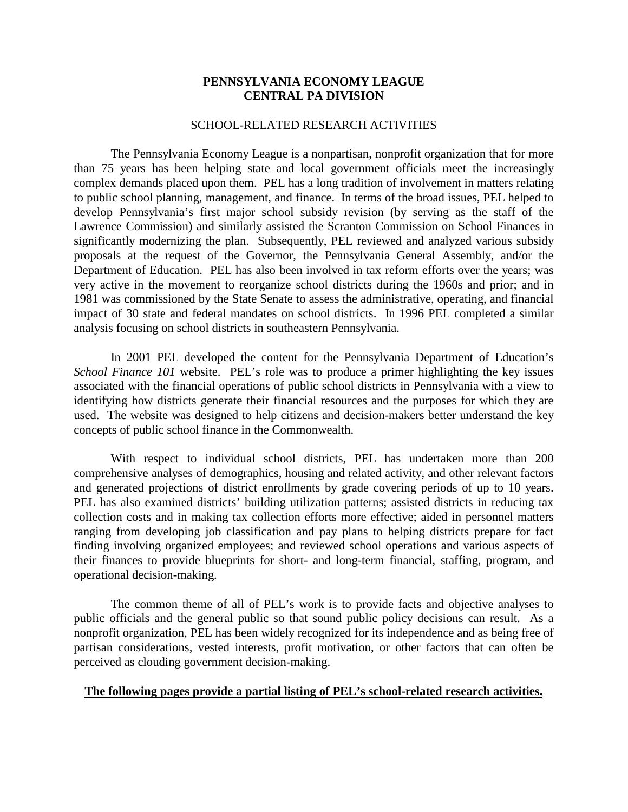## **PENNSYLVANIA ECONOMY LEAGUE CENTRAL PA DIVISION**

#### SCHOOL-RELATED RESEARCH ACTIVITIES

The Pennsylvania Economy League is a nonpartisan, nonprofit organization that for more than 75 years has been helping state and local government officials meet the increasingly complex demands placed upon them. PEL has a long tradition of involvement in matters relating to public school planning, management, and finance. In terms of the broad issues, PEL helped to develop Pennsylvania's first major school subsidy revision (by serving as the staff of the Lawrence Commission) and similarly assisted the Scranton Commission on School Finances in significantly modernizing the plan. Subsequently, PEL reviewed and analyzed various subsidy proposals at the request of the Governor, the Pennsylvania General Assembly, and/or the Department of Education. PEL has also been involved in tax reform efforts over the years; was very active in the movement to reorganize school districts during the 1960s and prior; and in 1981 was commissioned by the State Senate to assess the administrative, operating, and financial impact of 30 state and federal mandates on school districts. In 1996 PEL completed a similar analysis focusing on school districts in southeastern Pennsylvania.

In 2001 PEL developed the content for the Pennsylvania Department of Education's *School Finance 101* website. PEL's role was to produce a primer highlighting the key issues associated with the financial operations of public school districts in Pennsylvania with a view to identifying how districts generate their financial resources and the purposes for which they are used. The website was designed to help citizens and decision-makers better understand the key concepts of public school finance in the Commonwealth.

With respect to individual school districts, PEL has undertaken more than 200 comprehensive analyses of demographics, housing and related activity, and other relevant factors and generated projections of district enrollments by grade covering periods of up to 10 years. PEL has also examined districts' building utilization patterns; assisted districts in reducing tax collection costs and in making tax collection efforts more effective; aided in personnel matters ranging from developing job classification and pay plans to helping districts prepare for fact finding involving organized employees; and reviewed school operations and various aspects of their finances to provide blueprints for short- and long-term financial, staffing, program, and operational decision-making.

The common theme of all of PEL's work is to provide facts and objective analyses to public officials and the general public so that sound public policy decisions can result. As a nonprofit organization, PEL has been widely recognized for its independence and as being free of partisan considerations, vested interests, profit motivation, or other factors that can often be perceived as clouding government decision-making.

## **The following pages provide a partial listing of PEL's school-related research activities.**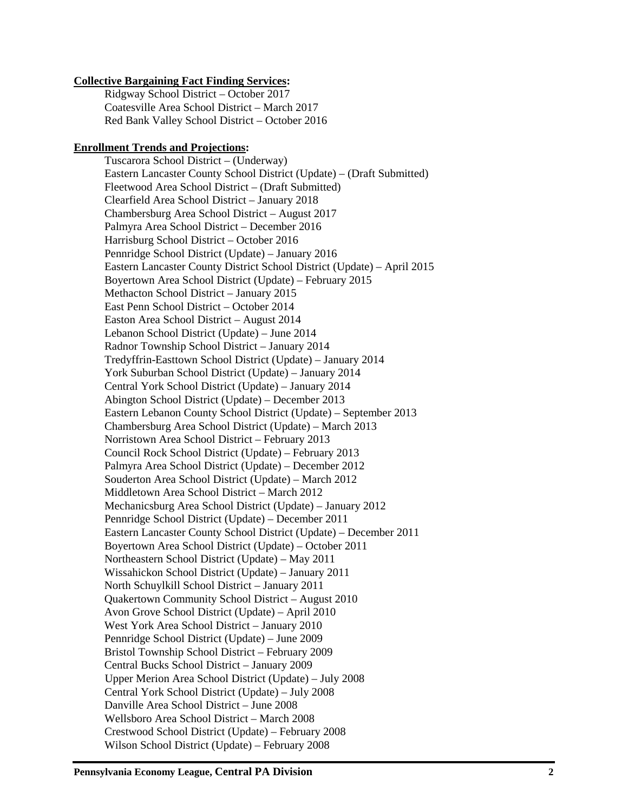### **Collective Bargaining Fact Finding Services:**

Ridgway School District – October 2017 Coatesville Area School District – March 2017 Red Bank Valley School District – October 2016

#### **Enrollment Trends and Projections:**

Tuscarora School District – (Underway) Eastern Lancaster County School District (Update) – (Draft Submitted) Fleetwood Area School District – (Draft Submitted) Clearfield Area School District – January 2018 Chambersburg Area School District – August 2017 Palmyra Area School District – December 2016 Harrisburg School District – October 2016 Pennridge School District (Update) – January 2016 Eastern Lancaster County District School District (Update) – April 2015 Boyertown Area School District (Update) – February 2015 Methacton School District – January 2015 East Penn School District – October 2014 Easton Area School District – August 2014 Lebanon School District (Update) – June 2014 Radnor Township School District – January 2014 Tredyffrin-Easttown School District (Update) – January 2014 York Suburban School District (Update) – January 2014 Central York School District (Update) – January 2014 Abington School District (Update) – December 2013 Eastern Lebanon County School District (Update) – September 2013 Chambersburg Area School District (Update) – March 2013 Norristown Area School District – February 2013 Council Rock School District (Update) – February 2013 Palmyra Area School District (Update) – December 2012 Souderton Area School District (Update) – March 2012 Middletown Area School District – March 2012 Mechanicsburg Area School District (Update) – January 2012 Pennridge School District (Update) – December 2011 Eastern Lancaster County School District (Update) – December 2011 Boyertown Area School District (Update) – October 2011 Northeastern School District (Update) – May 2011 Wissahickon School District (Update) – January 2011 North Schuylkill School District – January 2011 Quakertown Community School District – August 2010 Avon Grove School District (Update) – April 2010 West York Area School District – January 2010 Pennridge School District (Update) – June 2009 Bristol Township School District – February 2009 Central Bucks School District – January 2009 Upper Merion Area School District (Update) – July 2008 Central York School District (Update) – July 2008 Danville Area School District – June 2008 Wellsboro Area School District – March 2008 Crestwood School District (Update) – February 2008 Wilson School District (Update) – February 2008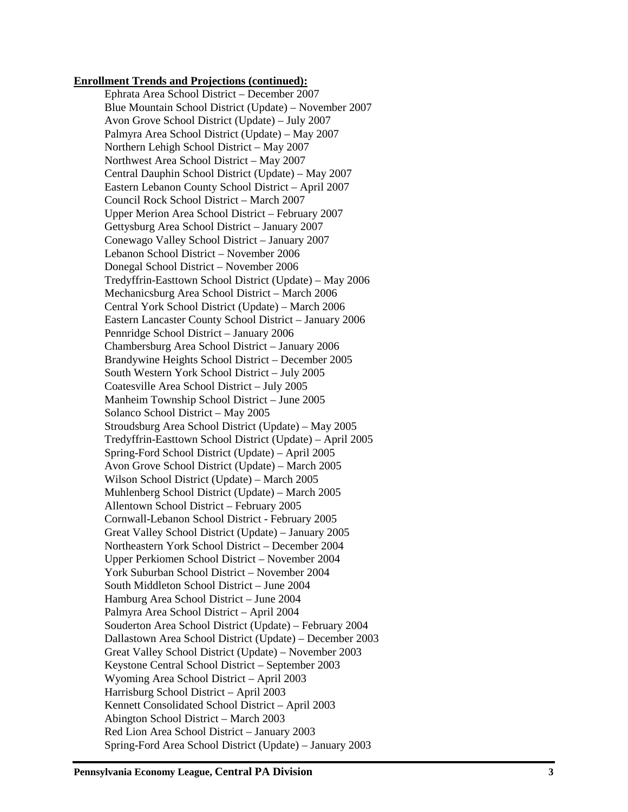#### **Enrollment Trends and Projections (continued):**

Ephrata Area School District – December 2007 Blue Mountain School District (Update) – November 2007 Avon Grove School District (Update) – July 2007 Palmyra Area School District (Update) – May 2007 Northern Lehigh School District – May 2007 Northwest Area School District – May 2007 Central Dauphin School District (Update) – May 2007 Eastern Lebanon County School District – April 2007 Council Rock School District – March 2007 Upper Merion Area School District – February 2007 Gettysburg Area School District – January 2007 Conewago Valley School District – January 2007 Lebanon School District – November 2006 Donegal School District – November 2006 Tredyffrin -Easttown School District (Update) – May 2006 Mechanicsburg Area School District – March 2006 Central York School District (Update) – March 2006 Eastern Lancaster County School District – January 2006 Pennridge School District – January 2006 Chambersburg Area School District – January 2006 Brandywine Heights School District – December 2005 South Western York School District – July 2005 Coatesville Area School District – July 2005 Manheim Township School District – June 2005 Solanco School District – May 2005 Stroudsburg Area School District (Update) – May 2005 Tredyffrin -Easttown School District (Update) – April 2005 Spring -Ford School District (Update) – April 2005 Avon Grove School District (Update) – March 2005 Wilson School District (Update) – March 2005 Muhlenberg School District (Update) – March 2005 Allentown School District – February 2005 Cornwall -Lebanon School District - February 2005 Great Valley School District (Update) – January 2005 Northeastern York School District – December 2004 Upper Perkiomen School District – November 2004 York Suburban School District – November 2004 South Middleton School District – June 2004 Hamburg Area School District – June 2004 Palmyra Area School District – April 2004 Souderton Area School District (Update) – February 2004 Dallastown Area School District (Update) – December 2003 Great Valley School District (Update) – November 2003 Keystone Central School District – September 2003 Wyoming Area School District – April 2003 Harrisburg School District – April 2003 Kennett Consolidated School District – April 2003 Abington School District – March 2003 Red Lion Area School District – January 2003 Spring -Ford Area School District (Update) – January 2003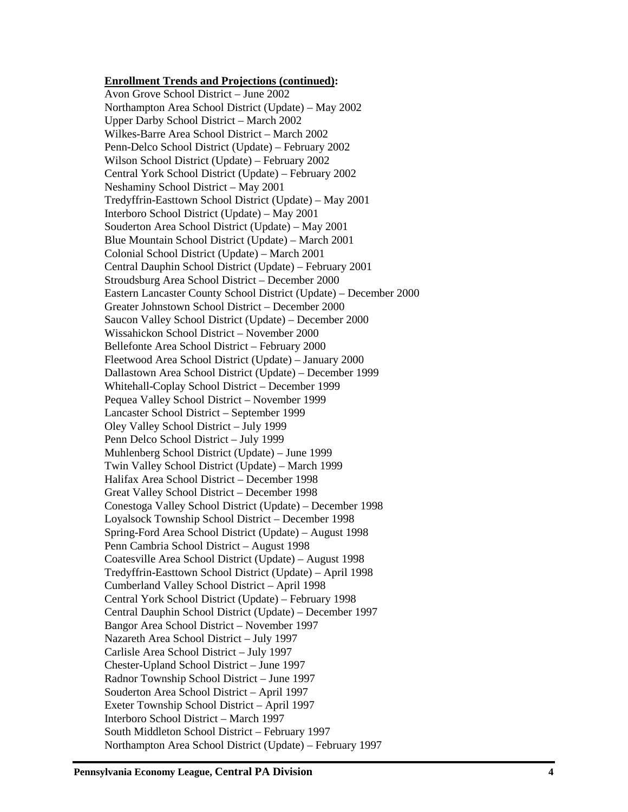#### **Enrollment Trends and Projections (continued) :**

Avon Grove School District – June 2002 Northampton Area School District (Update) – May 2002 Upper Darby School District – March 2002 Wilkes -Barre Area School District – March 2002 Penn -Delco School District (Update) – February 2002 Wilson School District (Update) – February 2002 Central York School District (Update) – February 2002 Neshaminy School District – May 2001 Tredyffrin -Easttown School District (Update) – May 2001 Interboro School District (Update) – May 2001 Souderton Area School District (Update) – May 2001 Blue Mountain School District (Update) – March 2001 Colonial School District (Update) – March 2001 Central Dauphin School District (Update) – February 2001 Stroudsburg Area School District – December 2000 Eastern Lancaster County School District (Update) – December 2000 Greater Johnstown School District – December 2000 Saucon Valley School District (Update) – December 2000 Wissahickon School District – November 2000 Bellefonte Area School District – February 2000 Fleetwood Area School District (Update) – January 2000 Dallastown Area School District (Update) – December 1999 Whitehall -Coplay School District – December 1999 Pequea Valley School District – November 1999 Lancaster School District – September 1999 Oley Valley School District – July 1999 Penn Delco School District – July 1999 Muhlenberg School District (Update) – June 1999 Twin Valley School District (Update) – March 1999 Halifax Area School District – December 1998 Great Valley School District – December 1998 Conestoga Valley School District (Update) – December 1998 Loyalsock Township School District – December 1998 Spring -Ford Area School District (Update) – August 1998 Penn Cambria School District – August 1998 Coatesville Area School District (Update) – August 1998 Tredyffrin -Easttown School District (Update) – April 1998 Cumberland Valley School District – April 1998 Central York School District (Update) – February 1998 Central Dauphin School District (Update) – December 1997 Bangor Area School District – November 1997 Nazareth Area School District – July 1997 Carlisle Area School District – July 1997 Chester -Upland School District – June 1997 Radnor Township School District – June 1997 Souderton Area School District – April 1997 Exeter Township School District – April 1997 Interboro School District – March 1997 South Middleton School District – February 1997 Northampton Area School District (Update) – February 1997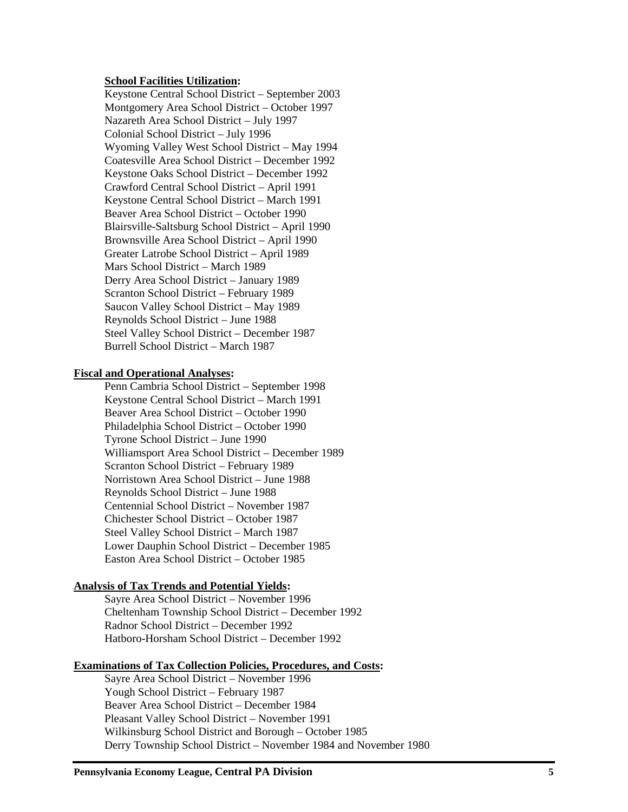### **School Facilities Utilization:**

Keystone Central School District – September 2003 Montgomery Area School District – October 1997 Nazareth Area School District – July 1997 Colonial School District – July 1996 Wyoming Valley West School District – May 1994 Coatesville Area School District – December 1992 Keystone Oaks School District – December 1992 Crawford Central School District – April 1991 Keystone Central School District – March 1991 Beaver Area School District – October 1990 Blairsville-Saltsburg School District – April 1990 Brownsville Area School District – April 1990 Greater Latrobe School District – April 1989 Mars School District – March 1989 Derry Area School District – January 1989 Scranton School District – February 1989 Saucon Valley School District – May 1989 Reynolds School District – June 1988 Steel Valley School District – December 1987 Burrell School District – March 1987

#### **Fiscal and Operational Analyses:**

Penn Cambria School District – September 1998 Keystone Central School District – March 1991 Beaver Area School District – October 1990 Philadelphia School District – October 1990 Tyrone School District – June 1990 Williamsport Area School District – December 1989 Scranton School District – February 1989 Norristown Area School District – June 1988 Reynolds School District – June 1988 Centennial School District – November 1987 Chichester School District – October 1987 Steel Valley School District – March 1987 Lower Dauphin School District – December 1985 Easton Area School District – October 1985

#### **Analysis of Tax Trends and Potential Yields:**

Sayre Area School District – November 1996 Cheltenham Township School District – December 1992 Radnor School District – December 1992 Hatboro-Horsham School District – December 1992

#### **Examinations of Tax Collection Policies, Procedures, and Costs:**

Sayre Area School District – November 1996 Yough School District – February 1987 Beaver Area School District – December 1984 Pleasant Valley School District – November 1991 Wilkinsburg School District and Borough – October 1985 Derry Township School District – November 1984 and November 1980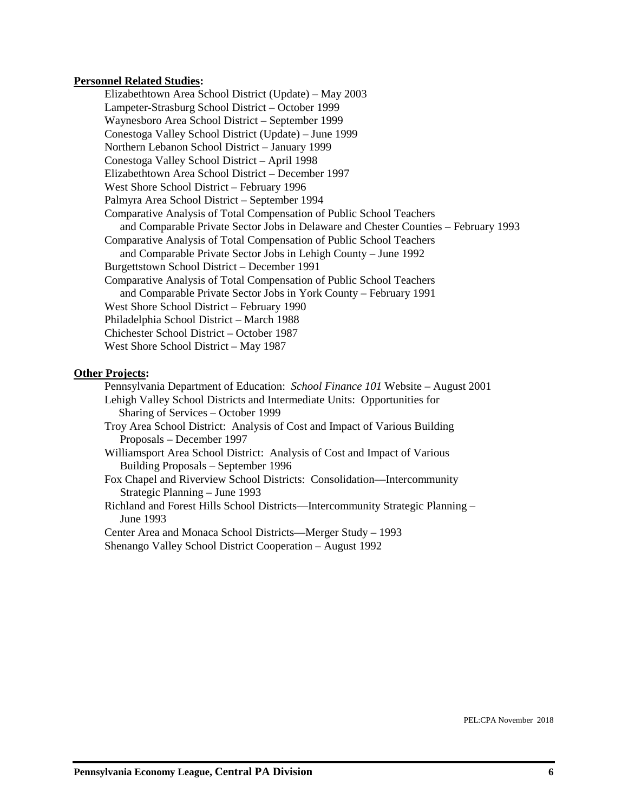#### **Personnel Related Studies:**

Elizabethtown Area School District (Update) – May 2003 Lampeter-Strasburg School District – October 1999 Waynesboro Area School District – September 1999 Conestoga Valley School District (Update) – June 1999 Northern Lebanon School District – January 1999 Conestoga Valley School District – April 1998 Elizabethtown Area School District – December 1997 West Shore School District – February 1996 Palmyra Area School District – September 1994 Comparative Analysis of Total Compensation of Public School Teachers and Comparable Private Sector Jobs in Delaware and Chester Counties – February 1993 Comparative Analysis of Total Compensation of Public School Teachers and Comparable Private Sector Jobs in Lehigh County – June 1992 Burgettstown School District – December 1991 Comparative Analysis of Total Compensation of Public School Teachers and Comparable Private Sector Jobs in York County – February 1991 West Shore School District – February 1990 Philadelphia School District – March 1988 Chichester School District – October 1987 West Shore School District – May 1987

#### **Other Projects:**

Pennsylvania Department of Education: *School Finance 101* Website – August 2001 Lehigh Valley School Districts and Intermediate Units: Opportunities for Sharing of Services – October 1999 Troy Area School District: Analysis of Cost and Impact of Various Building Proposals – December 1997 Williamsport Area School District: Analysis of Cost and Impact of Various Building Proposals – September 1996 Fox Chapel and Riverview School Districts: Consolidation—Intercommunity Strategic Planning – June 1993 Richland and Forest Hills School Districts—Intercommunity Strategic Planning – June 1993 Center Area and Monaca School Districts—Merger Study – 1993

Shenango Valley School District Cooperation – August 1992

PEL:CPA November 2018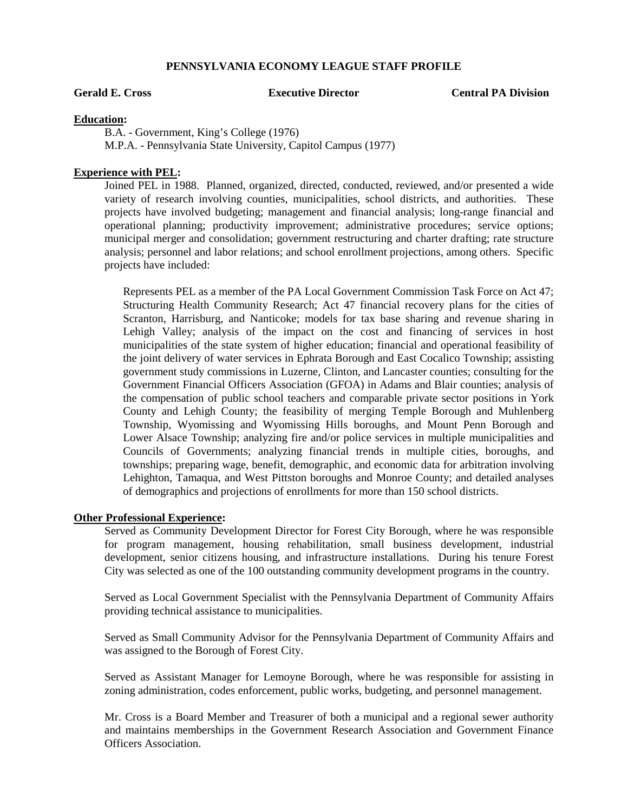**Gerald E. Cross Executive Director Central PA Division**

#### **Education:**

B.A. - Government, King's College (1976) M.P.A. - Pennsylvania State University, Capitol Campus (1977)

#### **Experience with PEL:**

Joined PEL in 1988. Planned, organized, directed, conducted, reviewed, and/or presented a wide variety of research involving counties, municipalities, school districts, and authorities. These projects have involved budgeting; management and financial analysis; long-range financial and operational planning; productivity improvement; administrative procedures; service options; municipal merger and consolidation; government restructuring and charter drafting; rate structure analysis; personnel and labor relations; and school enrollment projections, among others. Specific projects have included:

Represents PEL as a member of the PA Local Government Commission Task Force on Act 47; Structuring Health Community Research; Act 47 financial recovery plans for the cities of Scranton, Harrisburg, and Nanticoke; models for tax base sharing and revenue sharing in Lehigh Valley; analysis of the impact on the cost and financing of services in host municipalities of the state system of higher education; financial and operational feasibility of the joint delivery of water services in Ephrata Borough and East Cocalico Township; assisting government study commissions in Luzerne, Clinton, and Lancaster counties; consulting for the Government Financial Officers Association (GFOA) in Adams and Blair counties; analysis of the compensation of public school teachers and comparable private sector positions in York County and Lehigh County; the feasibility of merging Temple Borough and Muhlenberg Township, Wyomissing and Wyomissing Hills boroughs, and Mount Penn Borough and Lower Alsace Township; analyzing fire and/or police services in multiple municipalities and Councils of Governments; analyzing financial trends in multiple cities, boroughs, and townships; preparing wage, benefit, demographic, and economic data for arbitration involving Lehighton, Tamaqua, and West Pittston boroughs and Monroe County; and detailed analyses of demographics and projections of enrollments for more than 150 school districts.

#### **Other Professional Experience:**

Served as Community Development Director for Forest City Borough, where he was responsible for program management, housing rehabilitation, small business development, industrial development, senior citizens housing, and infrastructure installations. During his tenure Forest City was selected as one of the 100 outstanding community development programs in the country.

Served as Local Government Specialist with the Pennsylvania Department of Community Affairs providing technical assistance to municipalities.

Served as Small Community Advisor for the Pennsylvania Department of Community Affairs and was assigned to the Borough of Forest City.

Served as Assistant Manager for Lemoyne Borough, where he was responsible for assisting in zoning administration, codes enforcement, public works, budgeting, and personnel management.

Mr. Cross is a Board Member and Treasurer of both a municipal and a regional sewer authority and maintains memberships in the Government Research Association and Government Finance Officers Association.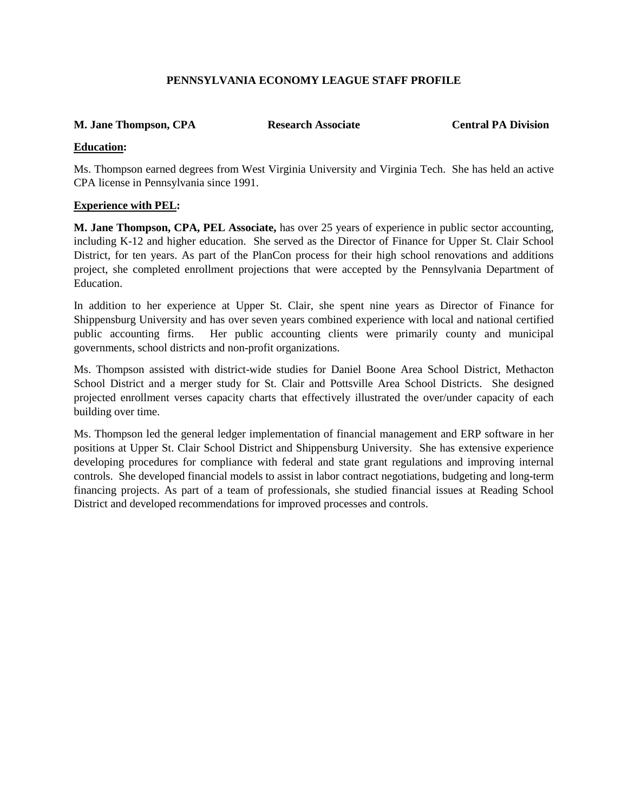## **M. Jane Thompson, CPA Research Associate Central PA Division**

## **Education:**

Ms. Thompson earned degrees from West Virginia University and Virginia Tech. She has held an active CPA license in Pennsylvania since 1991.

## **Experience with PEL:**

**M. Jane Thompson, CPA, PEL Associate,** has over 25 years of experience in public sector accounting, including K-12 and higher education. She served as the Director of Finance for Upper St. Clair School District, for ten years. As part of the PlanCon process for their high school renovations and additions project, she completed enrollment projections that were accepted by the Pennsylvania Department of **Education** 

In addition to her experience at Upper St. Clair, she spent nine years as Director of Finance for Shippensburg University and has over seven years combined experience with local and national certified public accounting firms. Her public accounting clients were primarily county and municipal governments, school districts and non-profit organizations.

Ms. Thompson assisted with district-wide studies for Daniel Boone Area School District, Methacton School District and a merger study for St. Clair and Pottsville Area School Districts. She designed projected enrollment verses capacity charts that effectively illustrated the over/under capacity of each building over time.

Ms. Thompson led the general ledger implementation of financial management and ERP software in her positions at Upper St. Clair School District and Shippensburg University. She has extensive experience developing procedures for compliance with federal and state grant regulations and improving internal controls. She developed financial models to assist in labor contract negotiations, budgeting and long-term financing projects. As part of a team of professionals, she studied financial issues at Reading School District and developed recommendations for improved processes and controls.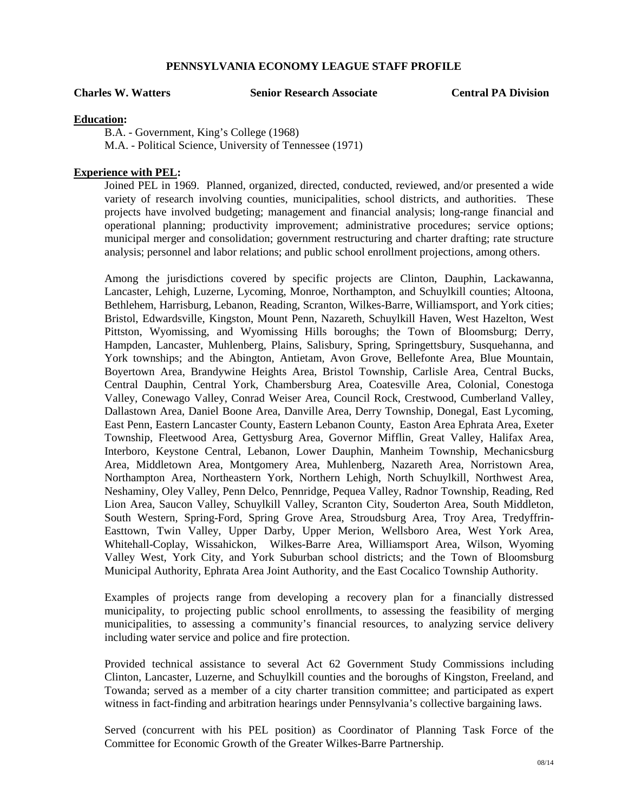**Charles W. Watters Senior Research Associate Central PA Division**

#### **Education:**

B.A. - Government, King's College (1968) M.A. - Political Science, University of Tennessee (1971)

#### **Experience with PEL:**

Joined PEL in 1969. Planned, organized, directed, conducted, reviewed, and/or presented a wide variety of research involving counties, municipalities, school districts, and authorities. These projects have involved budgeting; management and financial analysis; long-range financial and operational planning; productivity improvement; administrative procedures; service options; municipal merger and consolidation; government restructuring and charter drafting; rate structure analysis; personnel and labor relations; and public school enrollment projections, among others.

Among the jurisdictions covered by specific projects are Clinton, Dauphin, Lackawanna, Lancaster, Lehigh, Luzerne, Lycoming, Monroe, Northampton, and Schuylkill counties; Altoona, Bethlehem, Harrisburg, Lebanon, Reading, Scranton, Wilkes-Barre, Williamsport, and York cities; Bristol, Edwardsville, Kingston, Mount Penn, Nazareth, Schuylkill Haven, West Hazelton, West Pittston, Wyomissing, and Wyomissing Hills boroughs; the Town of Bloomsburg; Derry, Hampden, Lancaster, Muhlenberg, Plains, Salisbury, Spring, Springettsbury, Susquehanna, and York townships; and the Abington, Antietam, Avon Grove, Bellefonte Area, Blue Mountain, Boyertown Area, Brandywine Heights Area, Bristol Township, Carlisle Area, Central Bucks, Central Dauphin, Central York, Chambersburg Area, Coatesville Area, Colonial, Conestoga Valley, Conewago Valley, Conrad Weiser Area, Council Rock, Crestwood, Cumberland Valley, Dallastown Area, Daniel Boone Area, Danville Area, Derry Township, Donegal, East Lycoming, East Penn, Eastern Lancaster County, Eastern Lebanon County, Easton Area Ephrata Area, Exeter Township, Fleetwood Area, Gettysburg Area, Governor Mifflin, Great Valley, Halifax Area, Interboro, Keystone Central, Lebanon, Lower Dauphin, Manheim Township, Mechanicsburg Area, Middletown Area, Montgomery Area, Muhlenberg, Nazareth Area, Norristown Area, Northampton Area, Northeastern York, Northern Lehigh, North Schuylkill, Northwest Area, Neshaminy, Oley Valley, Penn Delco, Pennridge, Pequea Valley, Radnor Township, Reading, Red Lion Area, Saucon Valley, Schuylkill Valley, Scranton City, Souderton Area, South Middleton, South Western, Spring-Ford, Spring Grove Area, Stroudsburg Area, Troy Area, Tredyffrin-Easttown, Twin Valley, Upper Darby, Upper Merion, Wellsboro Area, West York Area, Whitehall-Coplay, Wissahickon, Wilkes-Barre Area, Williamsport Area, Wilson, Wyoming Valley West, York City, and York Suburban school districts; and the Town of Bloomsburg Municipal Authority, Ephrata Area Joint Authority, and the East Cocalico Township Authority.

Examples of projects range from developing a recovery plan for a financially distressed municipality, to projecting public school enrollments, to assessing the feasibility of merging municipalities, to assessing a community's financial resources, to analyzing service delivery including water service and police and fire protection.

Provided technical assistance to several Act 62 Government Study Commissions including Clinton, Lancaster, Luzerne, and Schuylkill counties and the boroughs of Kingston, Freeland, and Towanda; served as a member of a city charter transition committee; and participated as expert witness in fact-finding and arbitration hearings under Pennsylvania's collective bargaining laws.

Served (concurrent with his PEL position) as Coordinator of Planning Task Force of the Committee for Economic Growth of the Greater Wilkes-Barre Partnership.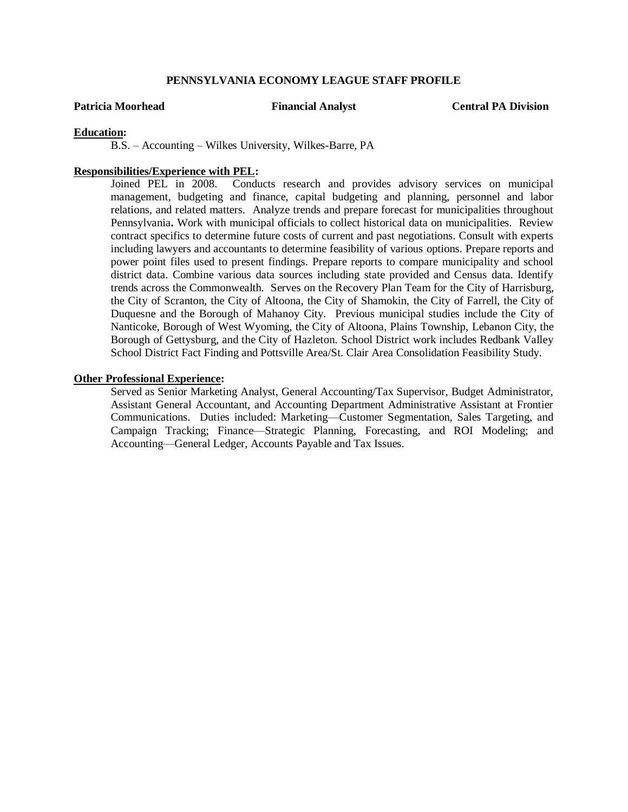#### **Patricia Moorhead Financial Analyst Central PA Division**

#### **Education:**

B.S. – Accounting – Wilkes University, Wilkes-Barre, PA

#### **Responsibilities/Experience with PEL:**

Joined PEL in 2008. Conducts research and provides advisory services on municipal management, budgeting and finance, capital budgeting and planning, personnel and labor relations, and related matters. Analyze trends and prepare forecast for municipalities throughout Pennsylvania**.** Work with municipal officials to collect historical data on municipalities. Review contract specifics to determine future costs of current and past negotiations. Consult with experts including lawyers and accountants to determine feasibility of various options. Prepare reports and power point files used to present findings. Prepare reports to compare municipality and school district data. Combine various data sources including state provided and Census data. Identify trends across the Commonwealth. Serves on the Recovery Plan Team for the City of Harrisburg, the City of Scranton, the City of Altoona, the City of Shamokin, the City of Farrell, the City of Duquesne and the Borough of Mahanoy City. Previous municipal studies include the City of Nanticoke, Borough of West Wyoming, the City of Altoona, Plains Township, Lebanon City, the Borough of Gettysburg, and the City of Hazleton. School District work includes Redbank Valley School District Fact Finding and Pottsville Area/St. Clair Area Consolidation Feasibility Study.

#### **Other Professional Experience:**

Served as Senior Marketing Analyst, General Accounting/Tax Supervisor, Budget Administrator, Assistant General Accountant, and Accounting Department Administrative Assistant at Frontier Communications. Duties included: Marketing—Customer Segmentation, Sales Targeting, and Campaign Tracking; Finance—Strategic Planning, Forecasting, and ROI Modeling; and Accounting—General Ledger, Accounts Payable and Tax Issues.